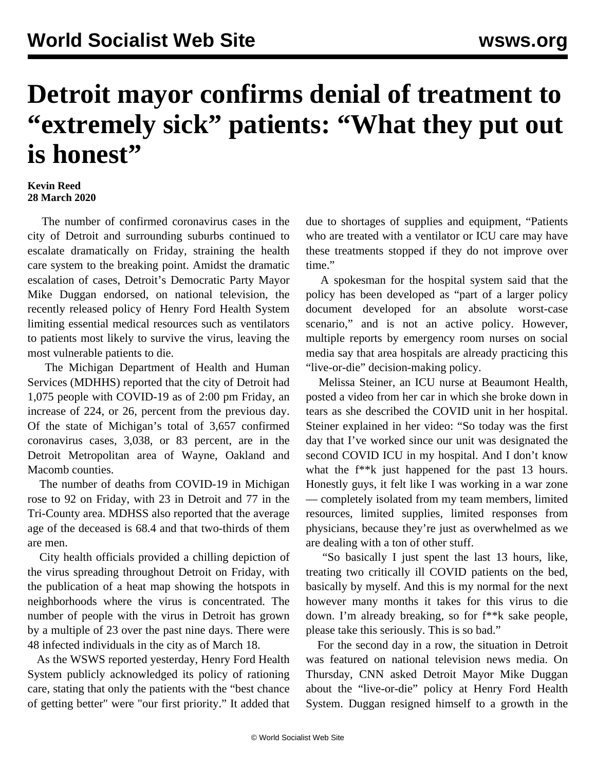## **Detroit mayor confirms denial of treatment to "extremely sick" patients: "What they put out is honest"**

## **Kevin Reed 28 March 2020**

 The number of confirmed coronavirus cases in the city of Detroit and surrounding suburbs continued to escalate dramatically on Friday, straining the health care system to the breaking point. Amidst the dramatic escalation of cases, Detroit's Democratic Party Mayor Mike Duggan endorsed, on national television, the recently released policy of Henry Ford Health System limiting essential medical resources such as ventilators to patients most likely to survive the virus, leaving the most vulnerable patients to die.

 The Michigan Department of Health and Human Services (MDHHS) reported that the city of Detroit had 1,075 people with COVID-19 as of 2:00 pm Friday, an increase of 224, or 26, percent from the previous day. Of the state of Michigan's total of 3,657 confirmed coronavirus cases, 3,038, or 83 percent, are in the Detroit Metropolitan area of Wayne, Oakland and Macomb counties.

 The number of deaths from COVID-19 in Michigan rose to 92 on Friday, with 23 in Detroit and 77 in the Tri-County area. MDHSS also reported that the average age of the deceased is 68.4 and that two-thirds of them are men.

 City health officials provided a chilling depiction of the virus spreading throughout Detroit on Friday, with the publication of a heat map showing the hotspots in neighborhoods where the virus is concentrated. The number of people with the virus in Detroit has grown by a multiple of 23 over the past nine days. There were 48 infected individuals in the city as of March 18.

 As the WSWS [reported](/en/articles/2020/03/27/detr-m27.html) yesterday, Henry Ford Health System publicly acknowledged its policy of rationing care, stating that only the patients with the "best chance of getting better" were "our first priority." It added that due to shortages of supplies and equipment, "Patients who are treated with a ventilator or ICU care may have these treatments stopped if they do not improve over time."

 A spokesman for the hospital system said that the policy has been developed as "part of a larger policy document developed for an absolute worst-case scenario," and is not an active policy. However, multiple reports by emergency room nurses on social media say that area hospitals are already practicing this "live-or-die" decision-making policy.

 Melissa Steiner, an ICU nurse at Beaumont Health, posted a [video](https://twitter.com/BamaStephen/status/1243304668446539779) from her car in which she broke down in tears as she described the COVID unit in her hospital. Steiner explained in her video: "So today was the first day that I've worked since our unit was designated the second COVID ICU in my hospital. And I don't know what the  $f^*$ k just happened for the past 13 hours. Honestly guys, it felt like I was working in a war zone — completely isolated from my team members, limited resources, limited supplies, limited responses from physicians, because they're just as overwhelmed as we are dealing with a ton of other stuff.

 "So basically I just spent the last 13 hours, like, treating two critically ill COVID patients on the bed, basically by myself. And this is my normal for the next however many months it takes for this virus to die down. I'm already breaking, so for f\*\*k sake people, please take this seriously. This is so bad."

 For the second day in a row, the situation in Detroit was featured on national television news media. On Thursday, CNN asked Detroit Mayor Mike Duggan about the "live-or-die" policy at Henry Ford Health System. Duggan resigned himself to a growth in the